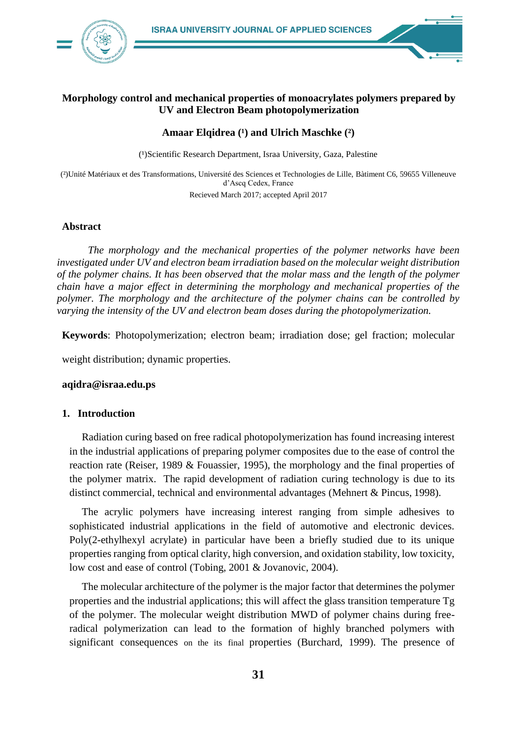

# **Morphology control and mechanical properties of monoacrylates polymers prepared by UV and Electron Beam photopolymerization**

## Amaar **Elqidrea** <sup>(1</sup>) and Ulrich Maschke <sup>(2</sup>)

(1) Scientific Research Department, Israa University, Gaza, Palestine

(²)Unité Matériaux et des Transformations, Université des Sciences et Technologies de Lille, Bàtiment C6, 59655 Villeneuve d'Ascq Cedex, France

Recieved March 2017; accepted April 2017

### **Abstract**

*The morphology and the mechanical properties of the polymer networks have been investigated under UV and electron beam irradiation based on the molecular weight distribution of the polymer chains. It has been observed that the molar mass and the length of the polymer chain have a major effect in determining the morphology and mechanical properties of the polymer. The morphology and the architecture of the polymer chains can be controlled by varying the intensity of the UV and electron beam doses during the photopolymerization.*

**Keywords**: Photopolymerization; electron beam; irradiation dose; gel fraction; molecular

weight distribution; dynamic properties.

## **aqidra@israa.edu.ps**

#### **1. Introduction**

Radiation curing based on free radical photopolymerization has found increasing interest in the industrial applications of preparing polymer composites due to the ease of control the reaction rate (Reiser, 1989 & Fouassier, 1995), the morphology and the final properties of the polymer matrix. The rapid development of radiation curing technology is due to its distinct commercial, technical and environmental advantages (Mehnert & Pincus, 1998).

The acrylic polymers have increasing interest ranging from simple adhesives to sophisticated industrial applications in the field of automotive and electronic devices. Poly(2-ethylhexyl acrylate) in particular have been a briefly studied due to its unique properties ranging from optical clarity, high conversion, and oxidation stability, low toxicity, low cost and ease of control (Tobing, 2001 & Jovanovic, 2004).

The molecular architecture of the polymer is the major factor that determines the polymer properties and the industrial applications; this will affect the glass transition temperature Tg of the polymer. The molecular weight distribution MWD of polymer chains during freeradical polymerization can lead to the formation of highly branched polymers with significant consequences on the its final properties (Burchard, 1999). The presence of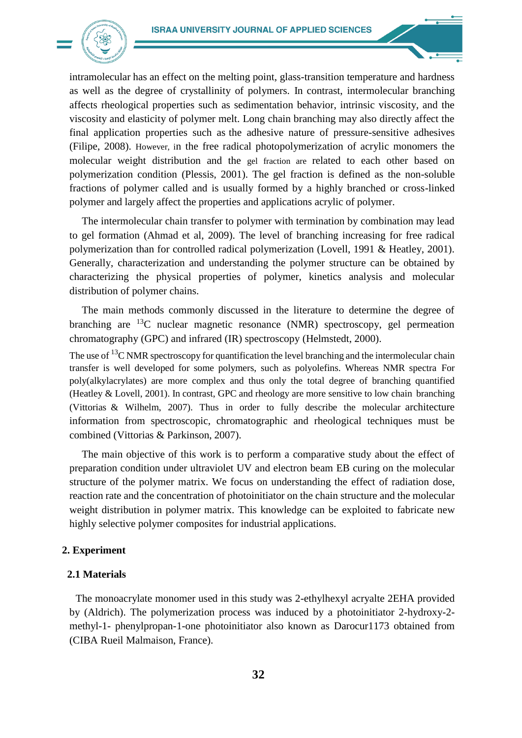

intramolecular has an effect on the melting point, glass-transition temperature and hardness as well as the degree of crystallinity of polymers. In contrast, intermolecular branching affects rheological properties such as sedimentation behavior, intrinsic viscosity, and the viscosity and elasticity of polymer melt. Long chain branching may also directly affect the final application properties such as the adhesive nature of pressure-sensitive adhesives (Filipe, 2008). However, in the free radical photopolymerization of acrylic monomers the molecular weight distribution and the gel fraction are related to each other based on polymerization condition (Plessis, 2001). The gel fraction is defined as the non-soluble fractions of polymer called and is usually formed by a highly branched or cross-linked polymer and largely affect the properties and applications acrylic of polymer.

The intermolecular chain transfer to polymer with termination by combination may lead to gel formation (Ahmad et al, 2009). The level of branching increasing for free radical polymerization than for controlled radical polymerization (Lovell, 1991 & Heatley, 2001). Generally, characterization and understanding the polymer structure can be obtained by characterizing the physical properties of polymer, kinetics analysis and molecular distribution of polymer chains.

The main methods commonly discussed in the literature to determine the degree of branching are  $^{13}$ C nuclear magnetic resonance (NMR) spectroscopy, gel permeation chromatography (GPC) and infrared (IR) spectroscopy (Helmstedt, 2000).

The use of  $13$ C NMR spectroscopy for quantification the level branching and the intermolecular chain transfer is well developed for some polymers, such as polyolefins. Whereas NMR spectra For poly(alkylacrylates) are more complex and thus only the total degree of branching quantified (Heatley & Lovell, 2001). In contrast, GPC and rheology are more sensitive to low chain branching (Vittorias & Wilhelm, 2007). Thus in order to fully describe the molecular architecture information from spectroscopic, chromatographic and rheological techniques must be combined (Vittorias & Parkinson, 2007).

The main objective of this work is to perform a comparative study about the effect of preparation condition under ultraviolet UV and electron beam EB curing on the molecular structure of the polymer matrix. We focus on understanding the effect of radiation dose, reaction rate and the concentration of photoinitiator on the chain structure and the molecular weight distribution in polymer matrix. This knowledge can be exploited to fabricate new highly selective polymer composites for industrial applications.

#### **2. Experiment**

### **2.1 Materials**

The monoacrylate monomer used in this study was 2-ethylhexyl acryalte 2EHA provided by (Aldrich). The polymerization process was induced by a photoinitiator 2-hydroxy-2 methyl-1- phenylpropan-1-one photoinitiator also known as Darocur1173 obtained from (CIBA Rueil Malmaison, France).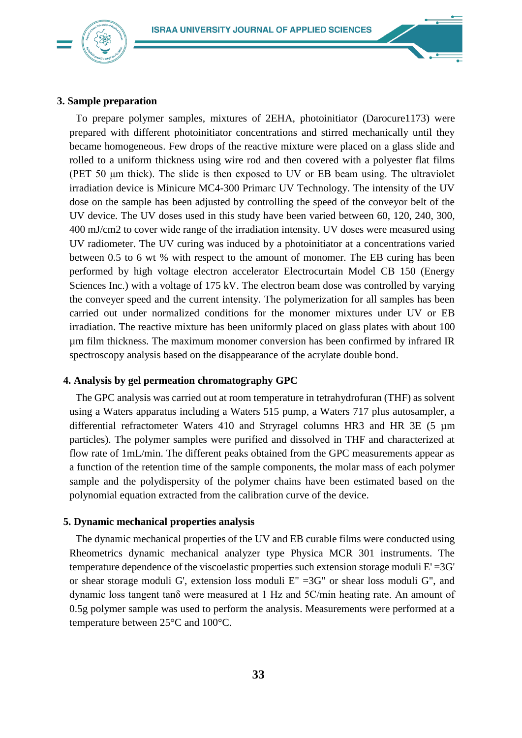

## **3. Sample preparation**

To prepare polymer samples, mixtures of 2EHA, photoinitiator (Darocure1173) were prepared with different photoinitiator concentrations and stirred mechanically until they became homogeneous. Few drops of the reactive mixture were placed on a glass slide and rolled to a uniform thickness using wire rod and then covered with a polyester flat films (PET 50 μm thick). The slide is then exposed to UV or EB beam using. The ultraviolet irradiation device is Minicure MC4-300 Primarc UV Technology. The intensity of the UV dose on the sample has been adjusted by controlling the speed of the conveyor belt of the UV device. The UV doses used in this study have been varied between 60, 120, 240, 300, 400 mJ/cm2 to cover wide range of the irradiation intensity. UV doses were measured using UV radiometer. The UV curing was induced by a photoinitiator at a concentrations varied between 0.5 to 6 wt % with respect to the amount of monomer. The EB curing has been performed by high voltage electron accelerator Electrocurtain Model CB 150 (Energy Sciences Inc.) with a voltage of 175 kV. The electron beam dose was controlled by varying the conveyer speed and the current intensity. The polymerization for all samples has been carried out under normalized conditions for the monomer mixtures under UV or EB irradiation. The reactive mixture has been uniformly placed on glass plates with about 100 µm film thickness. The maximum monomer conversion has been confirmed by infrared IR spectroscopy analysis based on the disappearance of the acrylate double bond.

#### **4. Analysis by gel permeation chromatography GPC**

The GPC analysis was carried out at room temperature in tetrahydrofuran (THF) as solvent using a Waters apparatus including a Waters 515 pump, a Waters 717 plus autosampler, a differential refractometer Waters 410 and Stryragel columns HR3 and HR 3E (5 µm particles). The polymer samples were purified and dissolved in THF and characterized at flow rate of 1mL/min. The different peaks obtained from the GPC measurements appear as a function of the retention time of the sample components, the molar mass of each polymer sample and the polydispersity of the polymer chains have been estimated based on the polynomial equation extracted from the calibration curve of the device.

#### **5. Dynamic mechanical properties analysis**

The dynamic mechanical properties of the UV and EB curable films were conducted using Rheometrics dynamic mechanical analyzer type Physica MCR 301 instruments. The temperature dependence of the viscoelastic properties such extension storage moduli  $E' = 3G'$ or shear storage moduli G', extension loss moduli E" =3G" or shear loss moduli G", and dynamic loss tangent tanδ were measured at 1 Hz and 5C/min heating rate. An amount of 0.5g polymer sample was used to perform the analysis. Measurements were performed at a temperature between 25°C and 100°C.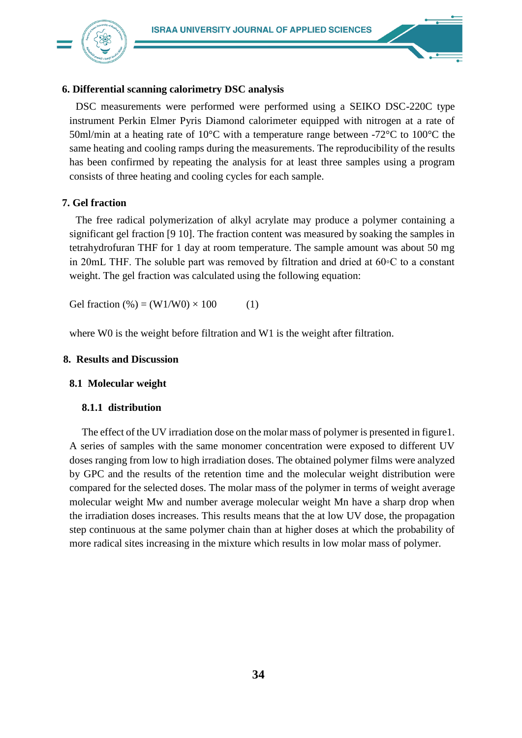

# **6. Differential scanning calorimetry DSC analysis**

DSC measurements were performed were performed using a SEIKO DSC-220C type instrument Perkin Elmer Pyris Diamond calorimeter equipped with nitrogen at a rate of 50ml/min at a heating rate of 10°C with a temperature range between -72°C to 100°C the same heating and cooling ramps during the measurements. The reproducibility of the results has been confirmed by repeating the analysis for at least three samples using a program consists of three heating and cooling cycles for each sample.

# **7. Gel fraction**

The free radical polymerization of alkyl acrylate may produce a polymer containing a significant gel fraction [9 10]. The fraction content was measured by soaking the samples in tetrahydrofuran THF for 1 day at room temperature. The sample amount was about 50 mg in 20mL THF. The soluble part was removed by filtration and dried at 60◦C to a constant weight. The gel fraction was calculated using the following equation:

Gel fraction  $(\% ) = (W1/W0) \times 100$  (1)

where W0 is the weight before filtration and W1 is the weight after filtration.

# **8. Results and Discussion**

## **8.1 Molecular weight**

## **8.1.1 distribution**

The effect of the UV irradiation dose on the molar mass of polymer is presented in figure1. A series of samples with the same monomer concentration were exposed to different UV doses ranging from low to high irradiation doses. The obtained polymer films were analyzed by GPC and the results of the retention time and the molecular weight distribution were compared for the selected doses. The molar mass of the polymer in terms of weight average molecular weight Mw and number average molecular weight Mn have a sharp drop when the irradiation doses increases. This results means that the at low UV dose, the propagation step continuous at the same polymer chain than at higher doses at which the probability of more radical sites increasing in the mixture which results in low molar mass of polymer.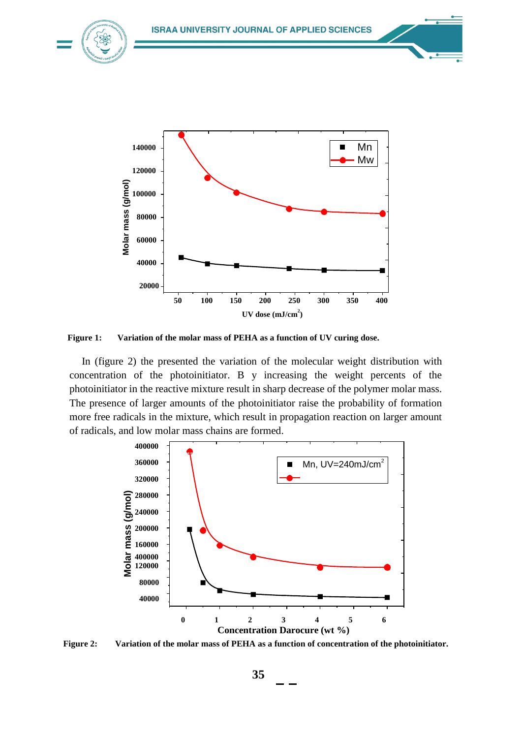

 **Figure 1: Variation of the molar mass of PEHA as a function of UV curing dose.**

In (figure 2) the presented the variation of the molecular weight distribution with concentration of the photoinitiator. B y increasing the weight percents of the photoinitiator in the reactive mixture result in sharp decrease of the polymer molar mass. The presence of larger amounts of the photoinitiator raise the probability of formation more free radicals in the mixture, which result in propagation reaction on larger amount of radicals, and low molar mass chains are formed.



**Figure 2: Variation of the molar mass of PEHA as a function of concentration of the photoinitiator.**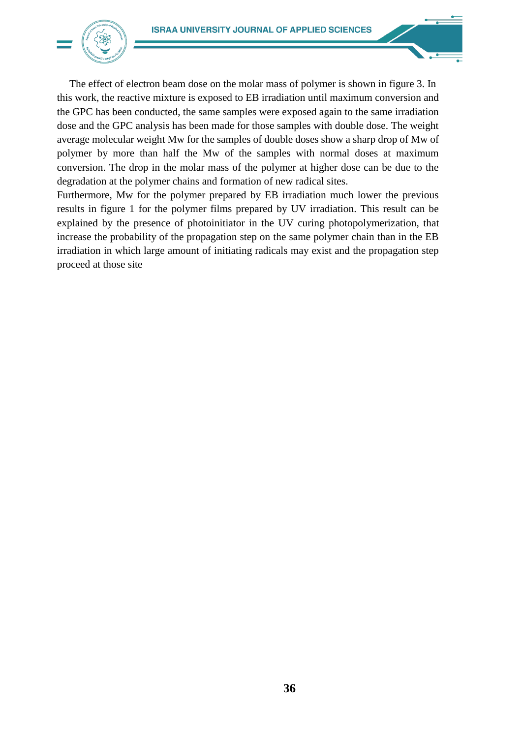

The effect of electron beam dose on the molar mass of polymer is shown in figure 3. In this work, the reactive mixture is exposed to EB irradiation until maximum conversion and the GPC has been conducted, the same samples were exposed again to the same irradiation dose and the GPC analysis has been made for those samples with double dose. The weight average molecular weight Mw for the samples of double doses show a sharp drop of Mw of polymer by more than half the Mw of the samples with normal doses at maximum conversion. The drop in the molar mass of the polymer at higher dose can be due to the degradation at the polymer chains and formation of new radical sites.

Furthermore, Mw for the polymer prepared by EB irradiation much lower the previous results in figure 1 for the polymer films prepared by UV irradiation. This result can be explained by the presence of photoinitiator in the UV curing photopolymerization, that increase the probability of the propagation step on the same polymer chain than in the EB irradiation in which large amount of initiating radicals may exist and the propagation step proceed at those site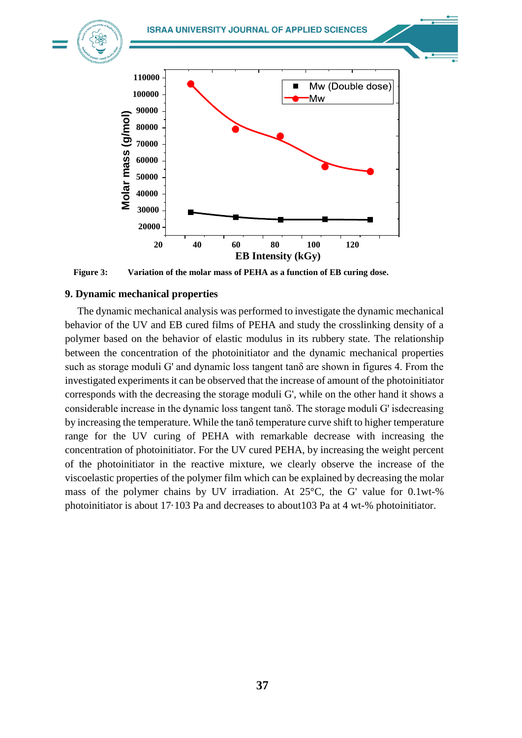



**Figure 3: Variation of the molar mass of PEHA as a function of EB curing dose.**

## **9. Dynamic mechanical properties**

The dynamic mechanical analysis was performed to investigate the dynamic mechanical behavior of the UV and EB cured films of PEHA and study the crosslinking density of a polymer based on the behavior of elastic modulus in its rubbery state. The relationship between the concentration of the photoinitiator and the dynamic mechanical properties such as storage moduli G' and dynamic loss tangent tanδ are shown in figures 4. From the investigated experiments it can be observed that the increase of amount of the photoinitiator corresponds with the decreasing the storage moduli G', while on the other hand it shows a considerable increase in the dynamic loss tangent tanδ. The storage moduli G' isdecreasing by increasing the temperature. While the tanδ temperature curve shift to higher temperature range for the UV curing of PEHA with remarkable decrease with increasing the concentration of photoinitiator. For the UV cured PEHA, by increasing the weight percent of the photoinitiator in the reactive mixture, we clearly observe the increase of the viscoelastic properties of the polymer film which can be explained by decreasing the molar mass of the polymer chains by UV irradiation. At 25°C, the G' value for 0.1wt-% **Example 18**<br> **Example 18.0000**<br> **Example 17.0000**<br> **Example 17.0000**<br> **Example incrediction of the molar mass of PEHA as a function of EB curing dose.**<br> **Photomeric mechanical analysis was performed to investigate the dy**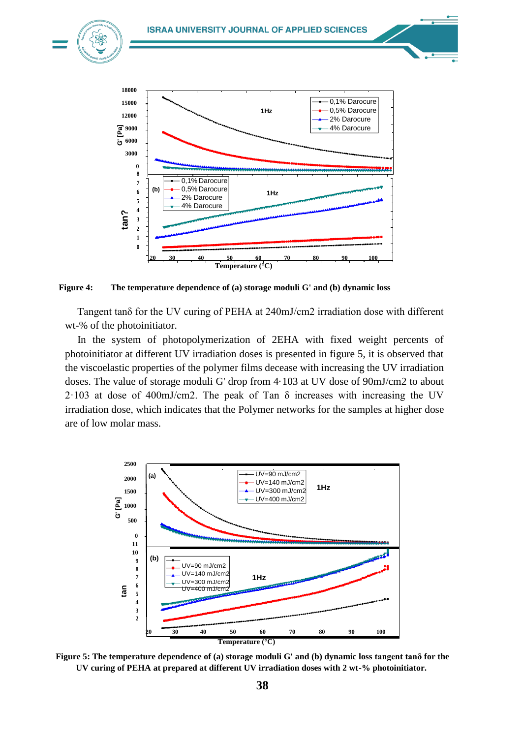

**Figure 4: The temperature dependence of (a) storage moduli G' and (b) dynamic loss**

Tangent tanδ for the UV curing of PEHA at 240mJ/cm2 irradiation dose with different wt-% of the photoinitiator.

In the system of photopolymerization of 2EHA with fixed weight percents of photoinitiator at different UV irradiation doses is presented in figure 5, it is observed that the viscoelastic properties of the polymer films decease with increasing the UV irradiation doses. The value of storage moduli G' drop from 4·103 at UV dose of 90mJ/cm2 to about  $2.103$  at dose of 400mJ/cm2. The peak of Tan  $\delta$  increases with increasing the UV irradiation dose, which indicates that the Polymer networks for the samples at higher dose are of low molar mass.



**Figure 5: The temperature dependence of (a) storage moduli G' and (b) dynamic loss tangent tanδ for the UV curing of PEHA at prepared at different UV irradiation doses with 2 wt-% photoinitiator.**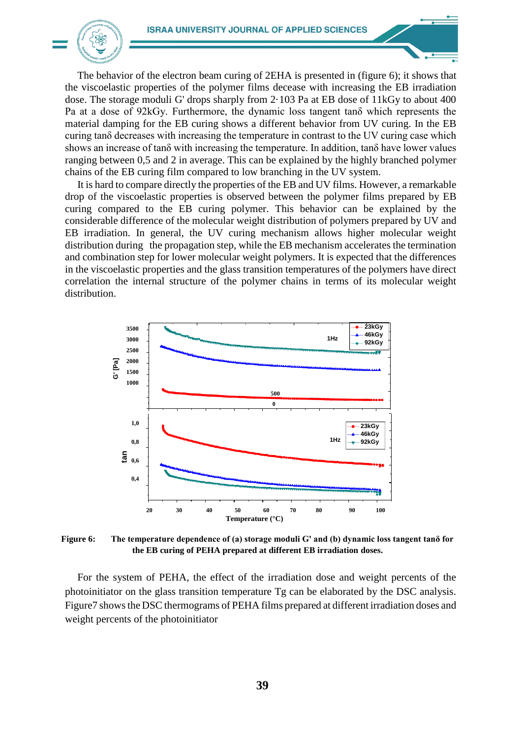

The behavior of the electron beam curing of 2EHA is presented in (figure 6); it shows that the viscoelastic properties of the polymer films decease with increasing the EB irradiation dose. The storage moduli G' drops sharply from 2·103 Pa at EB dose of 11kGy to about 400 Pa at a dose of 92kGy. Furthermore, the dynamic loss tangent tanδ which represents the material damping for the EB curing shows a different behavior from UV curing. In the EB curing tanδ decreases with increasing the temperature in contrast to the UV curing case which shows an increase of tanδ with increasing the temperature. In addition, tanδ have lower values ranging between 0,5 and 2 in average. This can be explained by the highly branched polymer chains of the EB curing film compared to low branching in the UV system.

It is hard to compare directly the properties of the EB and UV films. However, a remarkable drop of the viscoelastic properties is observed between the polymer films prepared by EB curing compared to the EB curing polymer. This behavior can be explained by the considerable difference of the molecular weight distribution of polymers prepared by UV and EB irradiation. In general, the UV curing mechanism allows higher molecular weight distribution during the propagation step, while the EB mechanism accelerates the termination and combination step for lower molecular weight polymers. It is expected that the differences in the viscoelastic properties and the glass transition temperatures of the polymers have direct correlation the internal structure of the polymer chains in terms of its molecular weight distribution.



**Figure 6: The temperature dependence of (a) storage moduli G' and (b) dynamic loss tangent tanδ for the EB curing of PEHA prepared at different EB irradiation doses.**

For the system of PEHA, the effect of the irradiation dose and weight percents of the photoinitiator on the glass transition temperature Tg can be elaborated by the DSC analysis. Figure7 showsthe DSC thermograms of PEHA films prepared at different irradiation doses and weight percents of the photoinitiator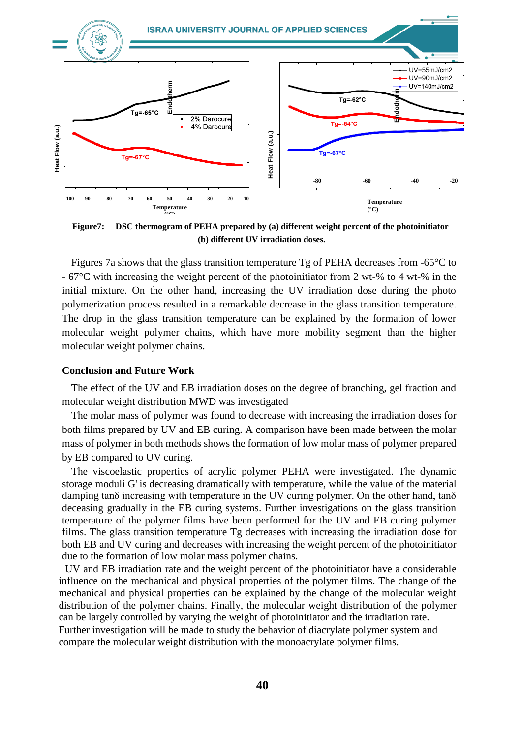

**Figure7: DSC thermogram of PEHA prepared by (a) different weight percent of the photoinitiator (b) different UV irradiation doses.**

Figures 7a shows that the glass transition temperature Tg of PEHA decreases from -65°C to - 67°C with increasing the weight percent of the photoinitiator from 2 wt-% to 4 wt-% in the initial mixture. On the other hand, increasing the UV irradiation dose during the photo polymerization process resulted in a remarkable decrease in the glass transition temperature. The drop in the glass transition temperature can be explained by the formation of lower molecular weight polymer chains, which have more mobility segment than the higher molecular weight polymer chains.

## **Conclusion and Future Work**

The effect of the UV and EB irradiation doses on the degree of branching, gel fraction and molecular weight distribution MWD was investigated

The molar mass of polymer was found to decrease with increasing the irradiation doses for both films prepared by UV and EB curing. A comparison have been made between the molar mass of polymer in both methods shows the formation of low molar mass of polymer prepared by EB compared to UV curing.

The viscoelastic properties of acrylic polymer PEHA were investigated. The dynamic storage moduli G' is decreasing dramatically with temperature, while the value of the material damping tanδ increasing with temperature in the UV curing polymer. On the other hand, tanδ deceasing gradually in the EB curing systems. Further investigations on the glass transition temperature of the polymer films have been performed for the UV and EB curing polymer films. The glass transition temperature Tg decreases with increasing the irradiation dose for both EB and UV curing and decreases with increasing the weight percent of the photoinitiator due to the formation of low molar mass polymer chains.

UV and EB irradiation rate and the weight percent of the photoinitiator have a considerable influence on the mechanical and physical properties of the polymer films. The change of the mechanical and physical properties can be explained by the change of the molecular weight distribution of the polymer chains. Finally, the molecular weight distribution of the polymer can be largely controlled by varying the weight of photoinitiator and the irradiation rate. Further investigation will be made to study the behavior of diacrylate polymer system and compare the molecular weight distribution with the monoacrylate polymer films.